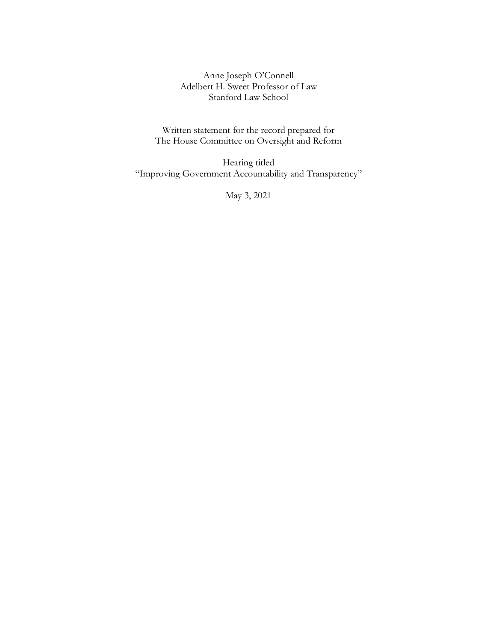Anne Joseph O'Connell Adelbert H. Sweet Professor of Law Stanford Law School

Written statement for the record prepared for The House Committee on Oversight and Reform

Hearing titled "Improving Government Accountability and Transparency"

May 3, 2021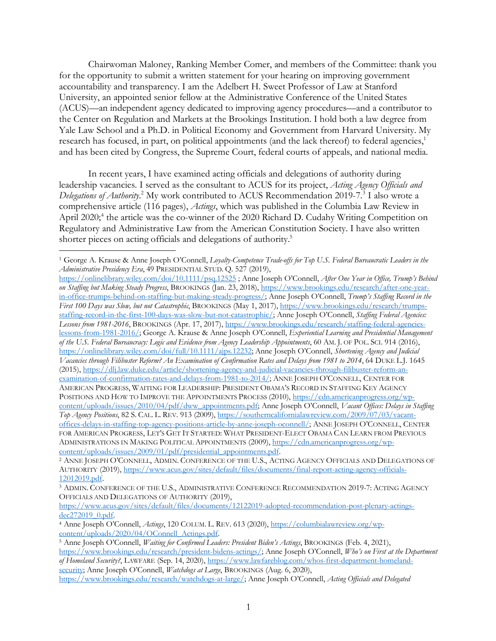Chairwoman Maloney, Ranking Member Comer, and members of the Committee: thank you for the opportunity to submit a written statement for your hearing on improving government accountability and transparency. I am the Adelbert H. Sweet Professor of Law at Stanford University, an appointed senior fellow at the Administrative Conference of the United States (ACUS)—an independent agency dedicated to improving agency procedures—and a contributor to the Center on Regulation and Markets at the Brookings Institution. I hold both a law degree from Yale Law School and a Ph.D. in Political Economy and Government from Harvard University. My research has focused, in part, on political appointments (and the lack thereof) to federal agencies,<sup>1</sup> and has been cited by Congress, the Supreme Court, federal courts of appeals, and national media.

In recent years, I have examined acting officials and delegations of authority during leadership vacancies. I served as the consultant to ACUS for its project, *Acting Agency Officials and*  Delegations of Authority.<sup>2</sup> My work contributed to ACUS Recommendation 2019-7.<sup>3</sup> I also wrote a comprehensive article (116 pages), *Actings*, which was published in the Columbia Law Review in April 2020;<sup>4</sup> the article was the co-winner of the 2020 Richard D. Cudahy Writing Competition on Regulatory and Administrative Law from the American Constitution Society. I have also written shorter pieces on acting officials and delegations of authority.<sup>5</sup>

https://onlinelibrary.wiley.com/doi/10.1111/psq.12525 ; Anne Joseph O'Connell, *After One Year in Office, Trump's Behind on Staffing but Making Steady Progress*, BROOKINGS (Jan. 23, 2018), https://www.brookings.edu/research/after-one-yearin-office-trumps-behind-on-staffing-but-making-steady-progress/; Anne Joseph O'Connell, *Trump's Staffing Record in the First 100 Days was Slow, but not Catastrophic*, BROOKINGS (May 1, 2017), https://www.brookings.edu/research/trumpsstaffing-record-in-the-first-100-days-was-slow-but-not-catastrophic/; Anne Joseph O'Connell, *Staffing Federal Agencies: Lessons from 1981-2016*, BROOKINGS (Apr. 17, 2017), https://www.brookings.edu/research/staffing-federal-agencieslessons-from-1981-2016/; George A. Krause & Anne Joseph O'Connell, *Experiential Learning and Presidential Management of the U.S. Federal Bureaucracy: Logic and Evidence from Agency Leadership Appointments*, 60 AM. J. OF POL. SCI. 914 (2016), https://onlinelibrary.wiley.com/doi/full/10.1111/ajps.12232; Anne Joseph O'Connell, *Shortening Agency and Judicial Vacancies through Filibuster Reform? An Examination of Confirmation Rates and Delays from 1981 to 2014*, 64 DUKE L.J. 1645 (2015), https://dlj.law.duke.edu/article/shortening-agency-and-judicial-vacancies-through-filibuster-reform-anexamination-of-confirmation-rates-and-delays-from-1981-to-2014/; ANNE JOSEPH O'CONNELL, CENTER FOR AMERICAN PROGRESS, WAITING FOR LEADERSHIP: PRESIDENT OBAMA'S RECORD IN STAFFING KEY AGENCY POSITIONS AND HOW TO IMPROVE THE APPOINTMENTS PROCESS (2010), https://cdn.americanprogress.org/wpcontent/uploads/issues/2010/04/pdf/dww\_appointments.pdf; Anne Joseph O'Connell, *Vacant Offices: Delays in Staffing Top Agency Positions*, 82 S. CAL. L. REV. 913 (2009), https://southerncalifornialawreview.com/2009/07/03/vacantoffices-delays-in-staffing-top-agency-positions-article-by-anne-joseph-oconnell/; ANNE JOSEPH O'CONNELL, CENTER FOR AMERICAN PROGRESS, LET'S GET IT STARTED: WHAT PRESIDENT-ELECT OBAMA CAN LEARN FROM PREVIOUS ADMINISTRATIONS IN MAKING POLITICAL APPOINTMENTS (2009), https://cdn.americanprogress.org/wpcontent/uploads/issues/2009/01/pdf/presidential\_appointments.pdf.

 <sup>1</sup> George A. Krause & Anne Joseph O'Connell, *Loyalty-Competence Trade-offs for Top U.S. Federal Bureaucratic Leaders in the Administrative Presidency Era*, 49 PRESIDENTIAL STUD. Q. 527 (2019),

<sup>2</sup> ANNE JOSEPH O'CONNELL, ADMIN. CONFERENCE OF THE U.S., ACTING AGENCY OFFICIALS AND DELEGATIONS OF AUTHORITY (2019), https://www.acus.gov/sites/default/files/documents/final-report-acting-agency-officials-12012019.pdf.

<sup>3</sup> ADMIN. CONFERENCE OF THE U.S., ADMINISTRATIVE CONFERENCE RECOMMENDATION 2019-7: ACTING AGENCY OFFICIALS AND DELEGATIONS OF AUTHORITY (2019),

https://www.acus.gov/sites/default/files/documents/12122019-adopted-recommendation-post-plenary-actingsdec272019\_0.pdf. 4 Anne Joseph O'Connell, *Actings*, 120 COLUM. L. REV. <sup>613</sup> (2020), https://columbialawreview.org/wp-

content/uploads/2020/04/OConnell\_Actings.pdf. 5 Anne Joseph O'Connell, *Waiting for Confirmed Leaders: President Biden's Actings*, BROOKINGS (Feb. 4, 2021),

https://www.brookings.edu/research/president-bidens-actings/; Anne Joseph O'Connell, *Who's on First at the Department of Homeland Security?*, LAWFARE (Sep. 14, 2020), https://www.lawfareblog.com/whos-first-department-homelandsecurity; Anne Joseph O'Connell, *Watchdogs at Large*, BROOKINGS (Aug. 6, 2020),

https://www.brookings.edu/research/watchdogs-at-large/; Anne Joseph O'Connell, *Acting Officials and Delegated*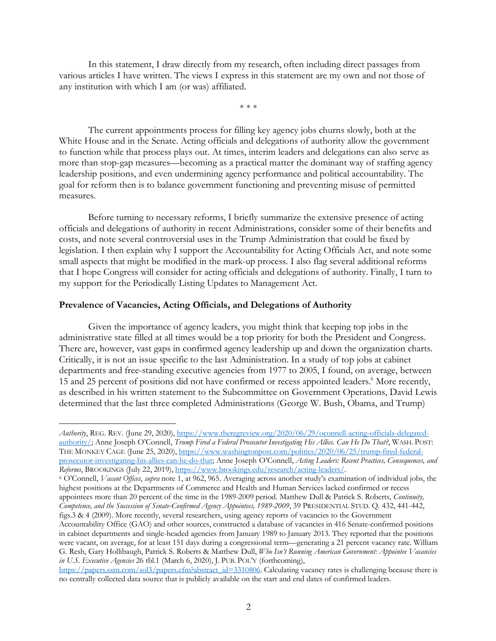In this statement, I draw directly from my research, often including direct passages from various articles I have written. The views I express in this statement are my own and not those of any institution with which I am (or was) affiliated.

\* \* \*

The current appointments process for filling key agency jobs churns slowly, both at the White House and in the Senate. Acting officials and delegations of authority allow the government to function while that process plays out. At times, interim leaders and delegations can also serve as more than stop-gap measures—becoming as a practical matter the dominant way of staffing agency leadership positions, and even undermining agency performance and political accountability. The goal for reform then is to balance government functioning and preventing misuse of permitted measures.

Before turning to necessary reforms, I briefly summarize the extensive presence of acting officials and delegations of authority in recent Administrations, consider some of their benefits and costs, and note several controversial uses in the Trump Administration that could be fixed by legislation. I then explain why I support the Accountability for Acting Officials Act, and note some small aspects that might be modified in the mark-up process. I also flag several additional reforms that I hope Congress will consider for acting officials and delegations of authority. Finally, I turn to my support for the Periodically Listing Updates to Management Act.

## **Prevalence of Vacancies, Acting Officials, and Delegations of Authority**

-

Given the importance of agency leaders, you might think that keeping top jobs in the administrative state filled at all times would be a top priority for both the President and Congress. There are, however, vast gaps in confirmed agency leadership up and down the organization charts. Critically, it is not an issue specific to the last Administration. In a study of top jobs at cabinet departments and free-standing executive agencies from 1977 to 2005, I found, on average, between 15 and 25 percent of positions did not have confirmed or recess appointed leaders. <sup>6</sup> More recently, as described in his written statement to the Subcommittee on Government Operations, David Lewis determined that the last three completed Administrations (George W. Bush, Obama, and Trump)

<sup>6</sup> O'Connell, *Vacant Offices*, *supra* note 1, at 962, 965. Averaging across another study's examination of individual jobs, the highest positions at the Departments of Commerce and Health and Human Services lacked confirmed or recess appointees more than 20 percent of the time in the 1989-2009 period. Matthew Dull & Patrick S. Roberts, *Continuity, Competence, and the Succession of Senate-Confirmed Agency Appointees, 1989-2009*, 39 PRESIDENTIAL STUD. Q. 432, 441-442, figs.3 & 4 (2009). More recently, several researchers, using agency reports of vacancies to the Government

*Authority*, REG. REV. (June 29, 2020), https://www.theregreview.org/2020/06/29/oconnell-acting-officials-delegatedauthority/; Anne Joseph O'Connell, *Trump Fired a Federal Prosecutor Investigating His Allies. Can He Do That?*, WASH. POST: THE MONKEY CAGE (June 25, 2020), https://www.washingtonpost.com/politics/2020/06/25/trump-fired-federalprosecutor-investigating-his-allies-can-he-do-that; Anne Joseph O'Connell, *Acting Leaders: Recent Practices, Consequences, and Reforms*, BROOKINGS (July 22, 2019), https://www.brookings.edu/research/acting-leaders/.

Accountability Office (GAO) and other sources, constructed a database of vacancies in 416 Senate-confirmed positions in cabinet departments and single-headed agencies from January 1989 to January 2013. They reported that the positions were vacant, on average, for at least 151 days during a congressional term—generating a 21 percent vacancy rate. William G. Resh, Gary Hollibaugh, Patrick S. Roberts & Matthew Dull, *Who Isn't Running American Government: Appointee Vacancies in U.S. Executive Agencies* 26 tbl.1 (March 6, 2020), J. PUB. POL'Y (forthcoming),

https://papers.ssrn.com/sol3/papers.cfm?abstract\_id=3310806. Calculating vacancy rates is challenging because there is no centrally collected data source that is publicly available on the start and end dates of confirmed leaders.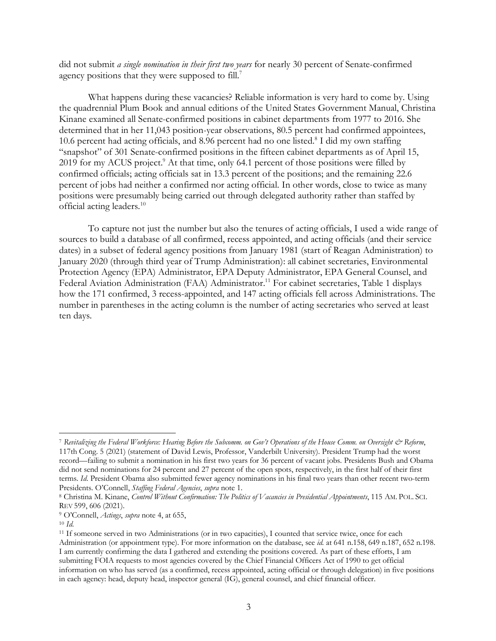did not submit *a single nomination in their first two years* for nearly 30 percent of Senate-confirmed agency positions that they were supposed to fill.<sup>7</sup>

What happens during these vacancies? Reliable information is very hard to come by. Using the quadrennial Plum Book and annual editions of the United States Government Manual, Christina Kinane examined all Senate-confirmed positions in cabinet departments from 1977 to 2016. She determined that in her 11,043 position-year observations, 80.5 percent had confirmed appointees, 10.6 percent had acting officials, and 8.96 percent had no one listed. $8$  I did my own staffing "snapshot" of 301 Senate-confirmed positions in the fifteen cabinet departments as of April 15, 2019 for my ACUS project. <sup>9</sup> At that time, only 64.1 percent of those positions were filled by confirmed officials; acting officials sat in 13.3 percent of the positions; and the remaining 22.6 percent of jobs had neither a confirmed nor acting official. In other words, close to twice as many positions were presumably being carried out through delegated authority rather than staffed by official acting leaders.10

To capture not just the number but also the tenures of acting officials, I used a wide range of sources to build a database of all confirmed, recess appointed, and acting officials (and their service dates) in a subset of federal agency positions from January 1981 (start of Reagan Administration) to January 2020 (through third year of Trump Administration): all cabinet secretaries, Environmental Protection Agency (EPA) Administrator, EPA Deputy Administrator, EPA General Counsel, and Federal Aviation Administration (FAA) Administrator.<sup>11</sup> For cabinet secretaries, Table 1 displays how the 171 confirmed, 3 recess-appointed, and 147 acting officials fell across Administrations. The number in parentheses in the acting column is the number of acting secretaries who served at least ten days.

<sup>&</sup>lt;sup>7</sup> Revitalizing the Federal Workforce: Hearing Before the Subcomm. on Gov't Operations of the House Comm. on Oversight & Reform, 117th Cong. 5 (2021) (statement of David Lewis, Professor, Vanderbilt University). President Trump had the worst record—failing to submit a nomination in his first two years for 36 percent of vacant jobs. Presidents Bush and Obama did not send nominations for 24 percent and 27 percent of the open spots, respectively, in the first half of their first terms. *Id*. President Obama also submitted fewer agency nominations in his final two years than other recent two-term Presidents. O'Connell, *Staffing Federal Agencies*, *supra* note 1.

<sup>8</sup> Christina M. Kinane, *Control Without Confirmation: The Politics of Vacancies in Presidential Appointments*, 115 AM. POL. SCI. REV 599, 606 (2021).

<sup>9</sup> O'Connell, *Actings*, *supra* note 4, at 655,

<sup>10</sup> *Id.*

<sup>11</sup> If someone served in two Administrations (or in two capacities), I counted that service twice, once for each Administration (or appointment type). For more information on the database, see *id.* at 641 n.158, 649 n.187, 652 n.198. I am currently confirming the data I gathered and extending the positions covered. As part of these efforts, I am submitting FOIA requests to most agencies covered by the Chief Financial Officers Act of 1990 to get official information on who has served (as a confirmed, recess appointed, acting official or through delegation) in five positions in each agency: head, deputy head, inspector general (IG), general counsel, and chief financial officer.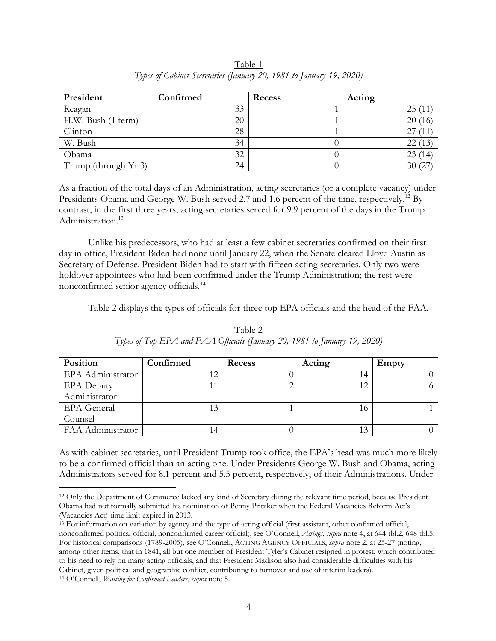| President            | Confirmed | Recess | Acting                  |
|----------------------|-----------|--------|-------------------------|
| Reagan               | 33        |        | 25(11)                  |
| H.W. Bush (1 term)   | 20        |        | 20 <sub>0</sub><br>(16) |
| Clinton              | 28        |        |                         |
| W. Bush              | 34        |        | 22(13)                  |
| Obama                | 32        |        | 23(14)                  |
| Trump (through Yr 3) | 24        |        | 30(27)                  |

Table 1 *Types of Cabinet Secretaries (January 20, 1981 to January 19, 2020)*

As a fraction of the total days of an Administration, acting secretaries (or a complete vacancy) under Presidents Obama and George W. Bush served 2.7 and 1.6 percent of the time, respectively.<sup>12</sup> By contrast, in the first three years, acting secretaries served for 9.9 percent of the days in the Trump Administration<sup>13</sup>

Unlike his predecessors, who had at least a few cabinet secretaries confirmed on their first day in office, President Biden had none until January 22, when the Senate cleared Lloyd Austin as Secretary of Defense. President Biden had to start with fifteen acting secretaries. Only two were holdover appointees who had been confirmed under the Trump Administration; the rest were nonconfirmed senior agency officials.14

Table 2 displays the types of officials for three top EPA officials and the head of the FAA.

| Position           | Confirmed | <b>Recess</b> | Acting | Empty |
|--------------------|-----------|---------------|--------|-------|
| EPA Administrator  |           |               | 14     |       |
| <b>EPA</b> Deputy  | 11        |               | 12     |       |
| Administrator      |           |               |        |       |
| <b>EPA</b> General | 13        |               | 10     |       |
| Counsel            |           |               |        |       |
| FAA Administrator  | 14        |               | 13     |       |

Table 2 *Types of Top EPA and FAA Officials (January 20, 1981 to January 19, 2020)*

As with cabinet secretaries, until President Trump took office, the EPA's head was much more likely to be a confirmed official than an acting one. Under Presidents George W. Bush and Obama, acting Administrators served for 8.1 percent and 5.5 percent, respectively, of their Administrations. Under

 <sup>12</sup> Only the Department of Commerce lacked any kind of Secretary during the relevant time period, because President Obama had not formally submitted his nomination of Penny Pritzker when the Federal Vacancies Reform Act's (Vacancies Act) time limit expired in 2013.

<sup>13</sup> For information on variation by agency and the type of acting official (first assistant, other confirmed official, nonconfirmed political official, nonconfirmed career official), see O'Connell, *Actings*, *supra* note 4, at 644 tbl.2, 648 tbl.5. For historical comparisons (1789-2005), see O'Connell, ACTING AGENCY OFFICIALS, *supra* note 2, at 25-27 (noting, among other items, that in 1841, all but one member of President Tyler's Cabinet resigned in protest, which contributed to his need to rely on many acting officials, and that President Madison also had considerable difficulties with his Cabinet, given political and geographic conflict, contributing to turnover and use of interim leaders).

<sup>14</sup> O'Connell, *Waiting for Confirmed Leaders*, *supra* note 5.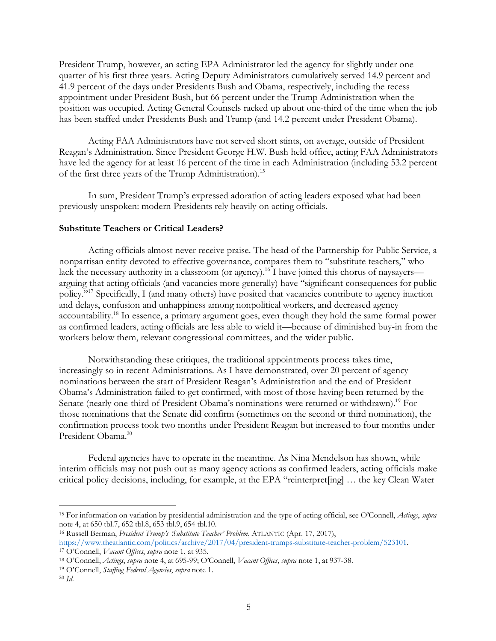President Trump, however, an acting EPA Administrator led the agency for slightly under one quarter of his first three years. Acting Deputy Administrators cumulatively served 14.9 percent and 41.9 percent of the days under Presidents Bush and Obama, respectively, including the recess appointment under President Bush, but 66 percent under the Trump Administration when the position was occupied. Acting General Counsels racked up about one-third of the time when the job has been staffed under Presidents Bush and Trump (and 14.2 percent under President Obama).

Acting FAA Administrators have not served short stints, on average, outside of President Reagan's Administration. Since President George H.W. Bush held office, acting FAA Administrators have led the agency for at least 16 percent of the time in each Administration (including 53.2 percent of the first three years of the Trump Administration).<sup>15</sup>

In sum, President Trump's expressed adoration of acting leaders exposed what had been previously unspoken: modern Presidents rely heavily on acting officials.

## **Substitute Teachers or Critical Leaders?**

Acting officials almost never receive praise. The head of the Partnership for Public Service, a nonpartisan entity devoted to effective governance, compares them to "substitute teachers," who lack the necessary authority in a classroom (or agency).<sup>16</sup> I have joined this chorus of naysayers arguing that acting officials (and vacancies more generally) have "significant consequences for public policy."17 Specifically, I (and many others) have posited that vacancies contribute to agency inaction and delays, confusion and unhappiness among nonpolitical workers, and decreased agency accountability.18 In essence, a primary argument goes, even though they hold the same formal power as confirmed leaders, acting officials are less able to wield it—because of diminished buy-in from the workers below them, relevant congressional committees, and the wider public.

Notwithstanding these critiques, the traditional appointments process takes time, increasingly so in recent Administrations. As I have demonstrated, over 20 percent of agency nominations between the start of President Reagan's Administration and the end of President Obama's Administration failed to get confirmed, with most of those having been returned by the Senate (nearly one-third of President Obama's nominations were returned or withdrawn).<sup>19</sup> For those nominations that the Senate did confirm (sometimes on the second or third nomination), the confirmation process took two months under President Reagan but increased to four months under President Obama.<sup>20</sup>

Federal agencies have to operate in the meantime. As Nina Mendelson has shown, while interim officials may not push out as many agency actions as confirmed leaders, acting officials make critical policy decisions, including, for example, at the EPA "reinterpret[ing] … the key Clean Water

 <sup>15</sup> For information on variation by presidential administration and the type of acting official, see O'Connell, *Actings*, *supra* note 4, at 650 tbl.7, 652 tbl.8, 653 tbl.9, 654 tbl.10.

<sup>16</sup> Russell Berman, *President Trump's 'Substitute Teacher' Problem*, ATLANTIC (Apr. 17, 2017), https://www.theatlantic.com/politics/archive/2017/04/president-trumps-substitute-teacher-problem/523101. 17 O'Connell, *Vacant Offices*, *supra* note 1, at 935.

<sup>18</sup> O'Connell, *Actings*, *supra* note 4, at 695-99; O'Connell, *Vacant Offices*, *supra* note 1, at 937-38.

<sup>19</sup> O'Connell, *Staffing Federal Agencies*, *supra* note 1.

<sup>20</sup> *Id.*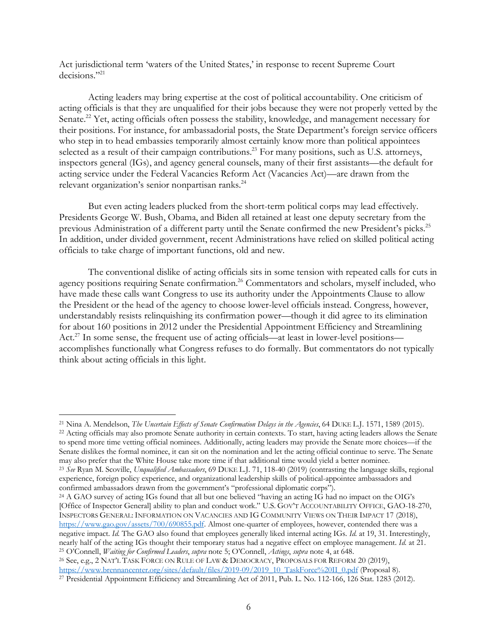Act jurisdictional term 'waters of the United States,' in response to recent Supreme Court decisions."<sup>21</sup>

Acting leaders may bring expertise at the cost of political accountability. One criticism of acting officials is that they are unqualified for their jobs because they were not properly vetted by the Senate.<sup>22</sup> Yet, acting officials often possess the stability, knowledge, and management necessary for their positions. For instance, for ambassadorial posts, the State Department's foreign service officers who step in to head embassies temporarily almost certainly know more than political appointees selected as a result of their campaign contributions.<sup>23</sup> For many positions, such as U.S. attorneys, inspectors general (IGs), and agency general counsels, many of their first assistants—the default for acting service under the Federal Vacancies Reform Act (Vacancies Act)—are drawn from the relevant organization's senior nonpartisan ranks. 24

But even acting leaders plucked from the short-term political corps may lead effectively. Presidents George W. Bush, Obama, and Biden all retained at least one deputy secretary from the previous Administration of a different party until the Senate confirmed the new President's picks.<sup>25</sup> In addition, under divided government, recent Administrations have relied on skilled political acting officials to take charge of important functions, old and new.

The conventional dislike of acting officials sits in some tension with repeated calls for cuts in agency positions requiring Senate confirmation.<sup>26</sup> Commentators and scholars, myself included, who have made these calls want Congress to use its authority under the Appointments Clause to allow the President or the head of the agency to choose lower-level officials instead. Congress, however, understandably resists relinquishing its confirmation power—though it did agree to its elimination for about 160 positions in 2012 under the Presidential Appointment Efficiency and Streamlining Act.<sup>27</sup> In some sense, the frequent use of acting officials—at least in lower-level positions accomplishes functionally what Congress refuses to do formally. But commentators do not typically think about acting officials in this light.

<sup>22</sup> Acting officials may also promote Senate authority in certain contexts. To start, having acting leaders allows the Senate to spend more time vetting official nominees. Additionally, acting leaders may provide the Senate more choices—if the Senate dislikes the formal nominee, it can sit on the nomination and let the acting official continue to serve. The Senate may also prefer that the White House take more time if that additional time would yield a better nominee.

<sup>23</sup> *See* Ryan M. Scoville, *Unqualified Ambassadors*, 69 DUKE L.J. 71, 118-40 (2019) (contrasting the language skills, regional experience, foreign policy experience, and organizational leadership skills of political-appointee ambassadors and confirmed ambassadors drawn from the government's "professional diplomatic corps").

<sup>24</sup> A GAO survey of acting IGs found that all but one believed "having an acting IG had no impact on the OIG's [Office of Inspector General] ability to plan and conduct work." U.S. GOV'T ACCOUNTABILITY OFFICE, GAO-18-270, INSPECTORS GENERAL: INFORMATION ON VACANCIES AND IG COMMUNITY VIEWS ON THEIR IMPACT 17 (2018), https://www.gao.gov/assets/700/690855.pdf. Almost one-quarter of employees, however, contended there was a negative impact. *Id.* The GAO also found that employees generally liked internal acting IGs. *Id.* at 19, 31. Interestingly, nearly half of the acting IGs thought their temporary status had a negative effect on employee management. *Id.* at 21. <sup>25</sup> O'Connell, *Waiting for Confirmed Leaders*, *supra* note 5; O'Connell, *Actings*, *supra* note 4, at 648.

<sup>26</sup> See, e.g., 2 NAT'L TASK FORCE ON RULE OF LAW & DEMOCRACY, PROPOSALS FOR REFORM 20 (2019), https://www.brennancenter.org/sites/default/files/2019-09/2019 10 TaskForce%20II 0.pdf (Proposal 8).

 <sup>21</sup> Nina A. Mendelson, *The Uncertain Effects of Senate Confirmation Delays in the Agencies*, 64 DUKE L.J. 1571, 1589 (2015).

<sup>&</sup>lt;sup>27</sup> Presidential Appointment Efficiency and Streamlining Act of 2011, Pub. L. No. 112-166, 126 Stat. 1283 (2012).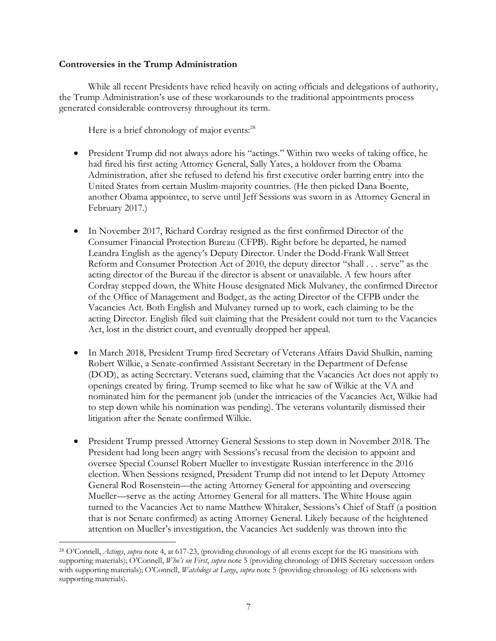# **Controversies in the Trump Administration**

While all recent Presidents have relied heavily on acting officials and delegations of authority, the Trump Administration's use of these workarounds to the traditional appointments process generated considerable controversy throughout its term.

Here is a brief chronology of major events:<sup>28</sup>

- President Trump did not always adore his "actings." Within two weeks of taking office, he had fired his first acting Attorney General, Sally Yates, a holdover from the Obama Administration, after she refused to defend his first executive order barring entry into the United States from certain Muslim-majority countries. (He then picked Dana Boente, another Obama appointee, to serve until Jeff Sessions was sworn in as Attorney General in February 2017.)
- In November 2017, Richard Cordray resigned as the first confirmed Director of the Consumer Financial Protection Bureau (CFPB). Right before he departed, he named Leandra English as the agency's Deputy Director. Under the Dodd-Frank Wall Street Reform and Consumer Protection Act of 2010, the deputy director "shall . . . serve" as the acting director of the Bureau if the director is absent or unavailable. A few hours after Cordray stepped down, the White House designated Mick Mulvaney, the confirmed Director of the Office of Management and Budget, as the acting Director of the CFPB under the Vacancies Act. Both English and Mulvaney turned up to work, each claiming to be the acting Director. English filed suit claiming that the President could not turn to the Vacancies Act, lost in the district court, and eventually dropped her appeal.
- In March 2018, President Trump fired Secretary of Veterans Affairs David Shulkin, naming Robert Wilkie, a Senate-confirmed Assistant Secretary in the Department of Defense (DOD), as acting Secretary. Veterans sued, claiming that the Vacancies Act does not apply to openings created by firing. Trump seemed to like what he saw of Wilkie at the VA and nominated him for the permanent job (under the intricacies of the Vacancies Act, Wilkie had to step down while his nomination was pending). The veterans voluntarily dismissed their litigation after the Senate confirmed Wilkie.
- President Trump pressed Attorney General Sessions to step down in November 2018. The President had long been angry with Sessions's recusal from the decision to appoint and oversee Special Counsel Robert Mueller to investigate Russian interference in the 2016 election. When Sessions resigned, President Trump did not intend to let Deputy Attorney General Rod Rosenstein—the acting Attorney General for appointing and overseeing Mueller—serve as the acting Attorney General for all matters. The White House again turned to the Vacancies Act to name Matthew Whitaker, Sessions's Chief of Staff (a position that is not Senate confirmed) as acting Attorney General. Likely because of the heightened attention on Mueller's investigation, the Vacancies Act suddenly was thrown into the

 <sup>28</sup> O'Connell, *Actings*, *supra* note 4, at 617-23, (providing chronology of all events except for the IG transitions with supporting materials); O'Connell, *Who's on First*, *supra* note 5 (providing chronology of DHS Secretary succession orders with supporting materials); O'Connell, *Watchdogs at Large*, *supra* note 5 (providing chronology of IG selections with supporting materials).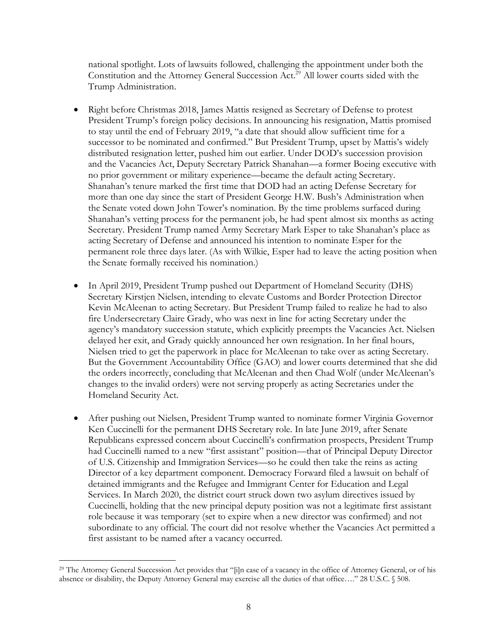national spotlight. Lots of lawsuits followed, challenging the appointment under both the Constitution and the Attorney General Succession Act.29 All lower courts sided with the Trump Administration.

- Right before Christmas 2018, James Mattis resigned as Secretary of Defense to protest President Trump's foreign policy decisions. In announcing his resignation, Mattis promised to stay until the end of February 2019, "a date that should allow sufficient time for a successor to be nominated and confirmed." But President Trump, upset by Mattis's widely distributed resignation letter, pushed him out earlier. Under DOD's succession provision and the Vacancies Act, Deputy Secretary Patrick Shanahan—a former Boeing executive with no prior government or military experience—became the default acting Secretary. Shanahan's tenure marked the first time that DOD had an acting Defense Secretary for more than one day since the start of President George H.W. Bush's Administration when the Senate voted down John Tower's nomination. By the time problems surfaced during Shanahan's vetting process for the permanent job, he had spent almost six months as acting Secretary. President Trump named Army Secretary Mark Esper to take Shanahan's place as acting Secretary of Defense and announced his intention to nominate Esper for the permanent role three days later. (As with Wilkie, Esper had to leave the acting position when the Senate formally received his nomination.)
- In April 2019, President Trump pushed out Department of Homeland Security (DHS) Secretary Kirstjen Nielsen, intending to elevate Customs and Border Protection Director Kevin McAleenan to acting Secretary. But President Trump failed to realize he had to also fire Undersecretary Claire Grady, who was next in line for acting Secretary under the agency's mandatory succession statute, which explicitly preempts the Vacancies Act. Nielsen delayed her exit, and Grady quickly announced her own resignation. In her final hours, Nielsen tried to get the paperwork in place for McAleenan to take over as acting Secretary. But the Government Accountability Office (GAO) and lower courts determined that she did the orders incorrectly, concluding that McAleenan and then Chad Wolf (under McAleenan's changes to the invalid orders) were not serving properly as acting Secretaries under the Homeland Security Act.
- After pushing out Nielsen, President Trump wanted to nominate former Virginia Governor Ken Cuccinelli for the permanent DHS Secretary role. In late June 2019, after Senate Republicans expressed concern about Cuccinelli's confirmation prospects, President Trump had Cuccinelli named to a new "first assistant" position—that of Principal Deputy Director of U.S. Citizenship and Immigration Services—so he could then take the reins as acting Director of a key department component. Democracy Forward filed a lawsuit on behalf of detained immigrants and the Refugee and Immigrant Center for Education and Legal Services. In March 2020, the district court struck down two asylum directives issued by Cuccinelli, holding that the new principal deputy position was not a legitimate first assistant role because it was temporary (set to expire when a new director was confirmed) and not subordinate to any official. The court did not resolve whether the Vacancies Act permitted a first assistant to be named after a vacancy occurred.

 <sup>29</sup> The Attorney General Succession Act provides that "[i]n case of a vacancy in the office of Attorney General, or of his absence or disability, the Deputy Attorney General may exercise all the duties of that office…." 28 U.S.C. § 508.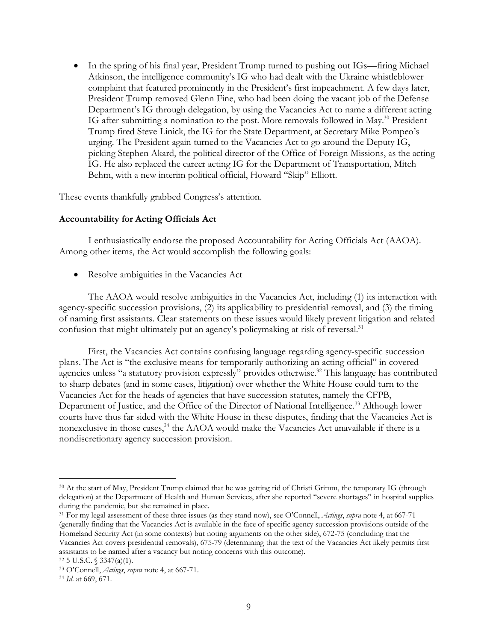• In the spring of his final year, President Trump turned to pushing out IGs—firing Michael Atkinson, the intelligence community's IG who had dealt with the Ukraine whistleblower complaint that featured prominently in the President's first impeachment. A few days later, President Trump removed Glenn Fine, who had been doing the vacant job of the Defense Department's IG through delegation, by using the Vacancies Act to name a different acting IG after submitting a nomination to the post. More removals followed in May.30 President Trump fired Steve Linick, the IG for the State Department, at Secretary Mike Pompeo's urging. The President again turned to the Vacancies Act to go around the Deputy IG, picking Stephen Akard, the political director of the Office of Foreign Missions, as the acting IG. He also replaced the career acting IG for the Department of Transportation, Mitch Behm, with a new interim political official, Howard "Skip" Elliott.

These events thankfully grabbed Congress's attention.

### **Accountability for Acting Officials Act**

I enthusiastically endorse the proposed Accountability for Acting Officials Act (AAOA). Among other items, the Act would accomplish the following goals:

• Resolve ambiguities in the Vacancies Act

The AAOA would resolve ambiguities in the Vacancies Act, including (1) its interaction with agency-specific succession provisions, (2) its applicability to presidential removal, and (3) the timing of naming first assistants. Clear statements on these issues would likely prevent litigation and related confusion that might ultimately put an agency's policymaking at risk of reversal.<sup>31</sup>

First, the Vacancies Act contains confusing language regarding agency-specific succession plans. The Act is "the exclusive means for temporarily authorizing an acting official" in covered agencies unless "a statutory provision expressly" provides otherwise.<sup>32</sup> This language has contributed to sharp debates (and in some cases, litigation) over whether the White House could turn to the Vacancies Act for the heads of agencies that have succession statutes, namely the CFPB, Department of Justice, and the Office of the Director of National Intelligence.<sup>33</sup> Although lower courts have thus far sided with the White House in these disputes, finding that the Vacancies Act is nonexclusive in those cases, $34$  the AAOA would make the Vacancies Act unavailable if there is a nondiscretionary agency succession provision.

 <sup>30</sup> At the start of May, President Trump claimed that he was getting rid of Christi Grimm, the temporary IG (through delegation) at the Department of Health and Human Services, after she reported "severe shortages" in hospital supplies during the pandemic, but she remained in place.

<sup>31</sup> For my legal assessment of these three issues (as they stand now), see O'Connell, *Actings*, *supra* note 4, at 667-71 (generally finding that the Vacancies Act is available in the face of specific agency succession provisions outside of the Homeland Security Act (in some contexts) but noting arguments on the other side), 672-75 (concluding that the Vacancies Act covers presidential removals), 675-79 (determining that the text of the Vacancies Act likely permits first assistants to be named after a vacancy but noting concerns with this outcome).

<sup>32</sup> 5 U.S.C. § 3347(a)(1).

<sup>33</sup> O'Connell, *Actings*, *supra* note 4, at 667-71.

<sup>34</sup> *Id.* at 669, 671.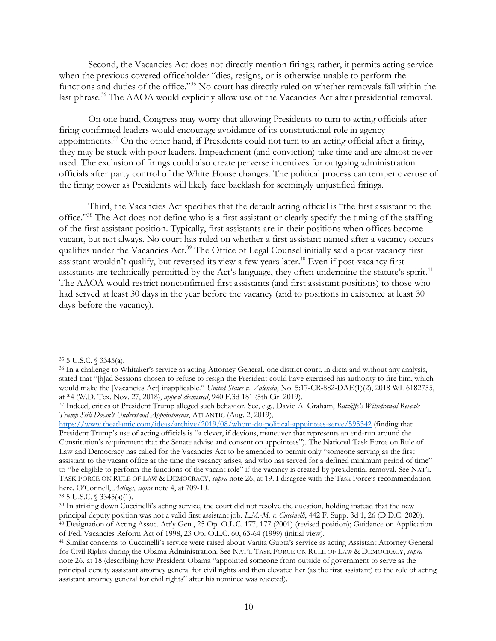Second, the Vacancies Act does not directly mention firings; rather, it permits acting service when the previous covered officeholder "dies, resigns, or is otherwise unable to perform the functions and duties of the office."35 No court has directly ruled on whether removals fall within the last phrase.<sup>36</sup> The AAOA would explicitly allow use of the Vacancies Act after presidential removal.

On one hand, Congress may worry that allowing Presidents to turn to acting officials after firing confirmed leaders would encourage avoidance of its constitutional role in agency appointments.37 On the other hand, if Presidents could not turn to an acting official after a firing, they may be stuck with poor leaders. Impeachment (and conviction) take time and are almost never used. The exclusion of firings could also create perverse incentives for outgoing administration officials after party control of the White House changes. The political process can temper overuse of the firing power as Presidents will likely face backlash for seemingly unjustified firings.

Third, the Vacancies Act specifies that the default acting official is "the first assistant to the office."38 The Act does not define who is a first assistant or clearly specify the timing of the staffing of the first assistant position. Typically, first assistants are in their positions when offices become vacant, but not always. No court has ruled on whether a first assistant named after a vacancy occurs qualifies under the Vacancies Act.<sup>39</sup> The Office of Legal Counsel initially said a post-vacancy first assistant wouldn't qualify, but reversed its view a few years later.<sup>40</sup> Even if post-vacancy first assistants are technically permitted by the Act's language, they often undermine the statute's spirit.<sup>41</sup> The AAOA would restrict nonconfirmed first assistants (and first assistant positions) to those who had served at least 30 days in the year before the vacancy (and to positions in existence at least 30 days before the vacancy).

 <sup>35</sup> 5 U.S.C. § 3345(a).

<sup>36</sup> In a challenge to Whitaker's service as acting Attorney General, one district court, in dicta and without any analysis, stated that "[h]ad Sessions chosen to refuse to resign the President could have exercised his authority to fire him, which would make the [Vacancies Act] inapplicable." *United States v. Valencia*, No. 5:17-CR-882-DAE(1)(2), 2018 WL 6182755, at \*4 (W.D. Tex. Nov. 27, 2018), *appeal dismissed*, 940 F.3d 181 (5th Cir. 2019).

<sup>37</sup> Indeed, critics of President Trump alleged such behavior. See, e.g., David A. Graham, *Ratcliffe's Withdrawal Reveals Trump Still Doesn't Understand Appointments*, ATLANTIC (Aug. 2, 2019),

https://www.theatlantic.com/ideas/archive/2019/08/whom-do-political-appointees-serve/595342 (finding that President Trump's use of acting officials is "a clever, if devious, maneuver that represents an end-run around the Constitution's requirement that the Senate advise and consent on appointees"). The National Task Force on Rule of Law and Democracy has called for the Vacancies Act to be amended to permit only "someone serving as the first assistant to the vacant office at the time the vacancy arises, and who has served for a defined minimum period of time" to "be eligible to perform the functions of the vacant role" if the vacancy is created by presidential removal. See NAT'L TASK FORCE ON RULE OF LAW & DEMOCRACY, *supra* note 26, at 19. I disagree with the Task Force's recommendation here. O'Connell, *Actings*, *supra* note 4, at 709-10.

<sup>38</sup> 5 U.S.C. § 3345(a)(1).

<sup>39</sup> In striking down Cuccinelli's acting service, the court did not resolve the question, holding instead that the new principal deputy position was not a valid first assistant job. *L.M.-M. v. Cuccinelli*, 442 F. Supp. 3d 1, 26 (D.D.C. 2020). <sup>40</sup> Designation of Acting Assoc. Att'y Gen., 25 Op. O.L.C. 177, 177 (2001) (revised position); Guidance on Application of Fed. Vacancies Reform Act of 1998, 23 Op. O.L.C. 60, 63-64 (1999) (initial view). 41 Similar concerns to Cuccinelli's service were raised about Vanita Gupta's service as acting Assistant Attorney General

for Civil Rights during the Obama Administration. See NAT'L TASK FORCE ON RULE OF LAW & DEMOCRACY, *supra* note 26, at 18 (describing how President Obama "appointed someone from outside of government to serve as the principal deputy assistant attorney general for civil rights and then elevated her (as the first assistant) to the role of acting assistant attorney general for civil rights" after his nominee was rejected).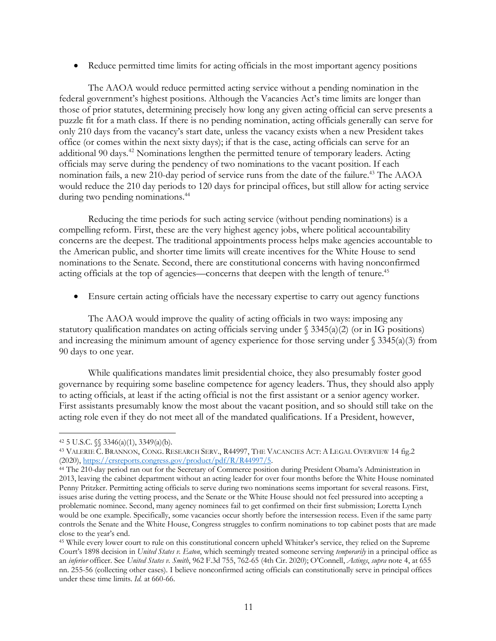• Reduce permitted time limits for acting officials in the most important agency positions

The AAOA would reduce permitted acting service without a pending nomination in the federal government's highest positions. Although the Vacancies Act's time limits are longer than those of prior statutes, determining precisely how long any given acting official can serve presents a puzzle fit for a math class. If there is no pending nomination, acting officials generally can serve for only 210 days from the vacancy's start date, unless the vacancy exists when a new President takes office (or comes within the next sixty days); if that is the case, acting officials can serve for an additional 90 days.<sup>42</sup> Nominations lengthen the permitted tenure of temporary leaders. Acting officials may serve during the pendency of two nominations to the vacant position. If each nomination fails, a new 210-day period of service runs from the date of the failure.<sup>43</sup> The AAOA would reduce the 210 day periods to 120 days for principal offices, but still allow for acting service during two pending nominations.<sup>44</sup>

Reducing the time periods for such acting service (without pending nominations) is a compelling reform. First, these are the very highest agency jobs, where political accountability concerns are the deepest. The traditional appointments process helps make agencies accountable to the American public, and shorter time limits will create incentives for the White House to send nominations to the Senate. Second, there are constitutional concerns with having nonconfirmed acting officials at the top of agencies—concerns that deepen with the length of tenure.<sup>45</sup>

• Ensure certain acting officials have the necessary expertise to carry out agency functions

The AAOA would improve the quality of acting officials in two ways: imposing any statutory qualification mandates on acting officials serving under § 3345(a)(2) (or in IG positions) and increasing the minimum amount of agency experience for those serving under  $\frac{3345(a)}{3}$  from 90 days to one year.

While qualifications mandates limit presidential choice, they also presumably foster good governance by requiring some baseline competence for agency leaders. Thus, they should also apply to acting officials, at least if the acting official is not the first assistant or a senior agency worker. First assistants presumably know the most about the vacant position, and so should still take on the acting role even if they do not meet all of the mandated qualifications. If a President, however,

<sup>42 5</sup> U.S.C.  $\{\$3346(a)(1), 3349(a)(b)\}.$ 

<sup>43</sup> VALERIE C. BRANNON, CONG. RESEARCH SERV., R44997, THE VACANCIES ACT: A LEGAL OVERVIEW 14 fig.2 (2020), https://crsreports.congress.gov/product/pdf/R/R44997/5.<br><sup>44</sup> The 210-day period ran out for the Secretary of Commerce position during President Obama's Administration in

<sup>2013,</sup> leaving the cabinet department without an acting leader for over four months before the White House nominated Penny Pritzker. Permitting acting officials to serve during two nominations seems important for several reasons. First, issues arise during the vetting process, and the Senate or the White House should not feel pressured into accepting a problematic nominee. Second, many agency nominees fail to get confirmed on their first submission; Loretta Lynch would be one example. Specifically, some vacancies occur shortly before the intersession recess. Even if the same party controls the Senate and the White House, Congress struggles to confirm nominations to top cabinet posts that are made close to the year's end.

<sup>45</sup> While every lower court to rule on this constitutional concern upheld Whitaker's service, they relied on the Supreme Court's 1898 decision in *United States v. Eaton*, which seemingly treated someone serving *temporarily* in a principal office as an *inferior* officer. See *United States v. Smith*, 962 F.3d 755, 762-65 (4th Cir. 2020); O'Connell, *Actings*, *supra* note 4, at 655 nn. 255-56 (collecting other cases). I believe nonconfirmed acting officials can constitutionally serve in principal offices under these time limits. *Id.* at 660-66.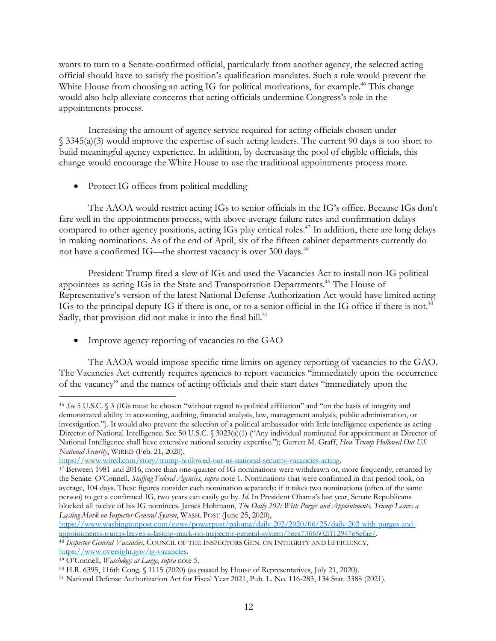wants to turn to a Senate-confirmed official, particularly from another agency, the selected acting official should have to satisfy the position's qualification mandates. Such a rule would prevent the White House from choosing an acting IG for political motivations, for example.<sup>46</sup> This change would also help alleviate concerns that acting officials undermine Congress's role in the appointments process.

Increasing the amount of agency service required for acting officials chosen under § 3345(a)(3) would improve the expertise of such acting leaders. The current 90 days is too short to build meaningful agency experience. In addition, by decreasing the pool of eligible officials, this change would encourage the White House to use the traditional appointments process more.

• Protect IG offices from political meddling

The AAOA would restrict acting IGs to senior officials in the IG's office. Because IGs don't fare well in the appointments process, with above-average failure rates and confirmation delays compared to other agency positions, acting IGs play critical roles.<sup>47</sup> In addition, there are long delays in making nominations. As of the end of April, six of the fifteen cabinet departments currently do not have a confirmed IG—the shortest vacancy is over 300 days.<sup>48</sup>

President Trump fired a slew of IGs and used the Vacancies Act to install non-IG political appointees as acting IGs in the State and Transportation Departments.49 The House of Representative's version of the latest National Defense Authorization Act would have limited acting IGs to the principal deputy IG if there is one, or to a senior official in the IG office if there is not.<sup>50</sup> Sadly, that provision did not make it into the final bill.<sup>51</sup>

• Improve agency reporting of vacancies to the GAO

The AAOA would impose specific time limits on agency reporting of vacancies to the GAO. The Vacancies Act currently requires agencies to report vacancies "immediately upon the occurrence of the vacancy" and the names of acting officials and their start dates "immediately upon the

https://www.washingtonpost.com/news/powerpost/paloma/daily-202/2020/06/25/daily-202-with-purges-andappointments-trump-leaves-a-lasting-mark-on-inspector-general-system/5eea7366602ff12947e8efae/. 48 *Inspector General Vacancies*, COUNCIL OF THE INSPECTORS GEN. ON INTEGRITY AND EFFICIENCY,

https://www.oversight.gov/ig-vacancies.

 <sup>46</sup> *See* 5 U.S.C. § <sup>3</sup> (IGs must be chosen "without regard to political affiliation" and "on the basis of integrity and demonstrated ability in accounting, auditing, financial analysis, law, management analysis, public administration, or investigation."). It would also prevent the selection of a political ambassador with little intelligence experience as acting Director of National Intelligence. See 50 U.S.C. § 3023(a)(1) ("Any individual nominated for appointment as Director of National Intelligence shall have extensive national security expertise."); Garrett M. Graff, *How Trump Hollowed Out US National Security*, WIRED (Feb. 21, 2020),

https://www.wired.com/story/trump-hollowed-out-us-national-security-vacancies-acting. 47 Between 1981 and 2016, more than one-quarter of IG nominations were withdrawn or, more frequently, returned by the Senate. O'Connell, *Staffing Federal Agencies*, *supra* note 1. Nominations that were confirmed in that period took, on average, 104 days. These figures consider each nomination separately: if it takes two nominations (often of the same person) to get a confirmed IG, two years can easily go by. *Id.* In President Obama's last year, Senate Republicans blocked all twelve of his IG nominees. James Hohmann, *The Daily 202: With Purges and Appointments, Trump Leaves a Lasting Mark on Inspector General System*, WASH. POST (June 25, 2020),

<sup>49</sup> O'Connell, *Watchdogs at Large*, *supra* note 5.

<sup>50</sup> H.R. 6395, 116th Cong. § 1115 (2020) (as passed by House of Representatives, July 21, 2020).

<sup>51</sup> National Defense Authorization Act for Fiscal Year 2021, Pub. L. No. 116-283, 134 Stat. 3388 (2021).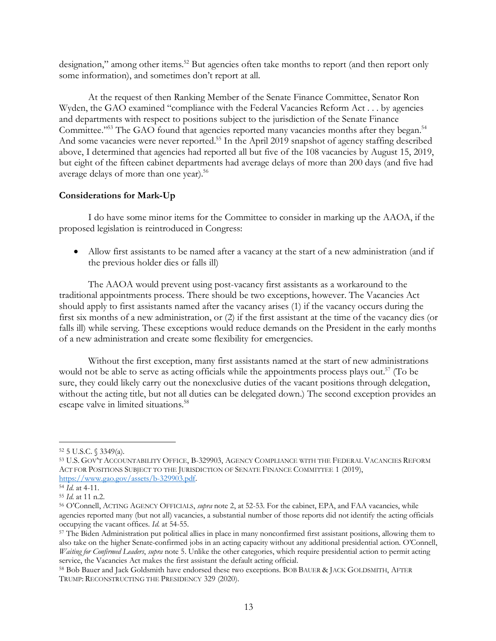designation," among other items.<sup>52</sup> But agencies often take months to report (and then report only some information), and sometimes don't report at all.

At the request of then Ranking Member of the Senate Finance Committee, Senator Ron Wyden, the GAO examined "compliance with the Federal Vacancies Reform Act . . . by agencies and departments with respect to positions subject to the jurisdiction of the Senate Finance Committee."<sup>53</sup> The GAO found that agencies reported many vacancies months after they began.<sup>54</sup> And some vacancies were never reported.<sup>55</sup> In the April 2019 snapshot of agency staffing described above, I determined that agencies had reported all but five of the 108 vacancies by August 15, 2019, but eight of the fifteen cabinet departments had average delays of more than 200 days (and five had average delays of more than one year).<sup>56</sup>

## **Considerations for Mark-Up**

I do have some minor items for the Committee to consider in marking up the AAOA, if the proposed legislation is reintroduced in Congress:

• Allow first assistants to be named after a vacancy at the start of a new administration (and if the previous holder dies or falls ill)

The AAOA would prevent using post-vacancy first assistants as a workaround to the traditional appointments process. There should be two exceptions, however. The Vacancies Act should apply to first assistants named after the vacancy arises (1) if the vacancy occurs during the first six months of a new administration, or (2) if the first assistant at the time of the vacancy dies (or falls ill) while serving. These exceptions would reduce demands on the President in the early months of a new administration and create some flexibility for emergencies.

Without the first exception, many first assistants named at the start of new administrations would not be able to serve as acting officials while the appointments process plays out.<sup>57</sup> (To be sure, they could likely carry out the nonexclusive duties of the vacant positions through delegation, without the acting title, but not all duties can be delegated down.) The second exception provides an escape valve in limited situations.<sup>58</sup>

 <sup>52</sup> 5 U.S.C. § 3349(a).

<sup>53</sup> U.S. GOV'T ACCOUNTABILITY OFFICE, B-329903, AGENCY COMPLIANCE WITH THE FEDERAL VACANCIES REFORM ACT FOR POSITIONS SUBJECT TO THE JURISDICTION OF SENATE FINANCE COMMITTEE 1 (2019), https://www.gao.gov/assets/b-329903.pdf. 54 *Id.* at 4-11.

<sup>55</sup> *Id.* at 11 n.2.

<sup>56</sup> O'Connell, ACTING AGENCY OFFICIALS, *supra* note 2, at 52-53. For the cabinet, EPA, and FAA vacancies, while agencies reported many (but not all) vacancies, a substantial number of those reports did not identify the acting officials occupying the vacant offices. *Id.* at 54-55.

<sup>57</sup> The Biden Administration put political allies in place in many nonconfirmed first assistant positions, allowing them to also take on the higher Senate-confirmed jobs in an acting capacity without any additional presidential action. O'Connell, *Waiting for Confirmed Leaders*, *supra* note 5. Unlike the other categories, which require presidential action to permit acting service, the Vacancies Act makes the first assistant the default acting official.

<sup>58</sup> Bob Bauer and Jack Goldsmith have endorsed these two exceptions. BOB BAUER & JACK GOLDSMITH, AFTER TRUMP: RECONSTRUCTING THE PRESIDENCY 329 (2020).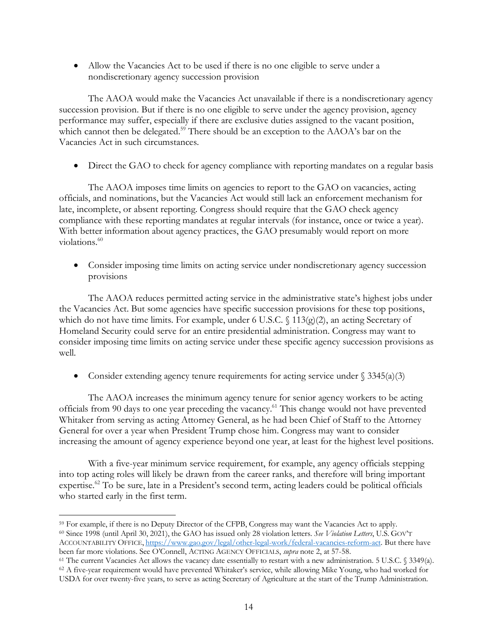• Allow the Vacancies Act to be used if there is no one eligible to serve under a nondiscretionary agency succession provision

The AAOA would make the Vacancies Act unavailable if there is a nondiscretionary agency succession provision. But if there is no one eligible to serve under the agency provision, agency performance may suffer, especially if there are exclusive duties assigned to the vacant position, which cannot then be delegated.<sup>59</sup> There should be an exception to the AAOA's bar on the Vacancies Act in such circumstances.

• Direct the GAO to check for agency compliance with reporting mandates on a regular basis

The AAOA imposes time limits on agencies to report to the GAO on vacancies, acting officials, and nominations, but the Vacancies Act would still lack an enforcement mechanism for late, incomplete, or absent reporting. Congress should require that the GAO check agency compliance with these reporting mandates at regular intervals (for instance, once or twice a year). With better information about agency practices, the GAO presumably would report on more violations.<sup>60</sup>

• Consider imposing time limits on acting service under nondiscretionary agency succession provisions

The AAOA reduces permitted acting service in the administrative state's highest jobs under the Vacancies Act. But some agencies have specific succession provisions for these top positions, which do not have time limits. For example, under 6 U.S.C. § 113(g)(2), an acting Secretary of Homeland Security could serve for an entire presidential administration. Congress may want to consider imposing time limits on acting service under these specific agency succession provisions as well.

• Consider extending agency tenure requirements for acting service under  $\S 3345(a)(3)$ 

The AAOA increases the minimum agency tenure for senior agency workers to be acting officials from 90 days to one year preceding the vacancy. <sup>61</sup> This change would not have prevented Whitaker from serving as acting Attorney General, as he had been Chief of Staff to the Attorney General for over a year when President Trump chose him. Congress may want to consider increasing the amount of agency experience beyond one year, at least for the highest level positions.

With a five-year minimum service requirement, for example, any agency officials stepping into top acting roles will likely be drawn from the career ranks, and therefore will bring important expertise.<sup>62</sup> To be sure, late in a President's second term, acting leaders could be political officials who started early in the first term.

<sup>&</sup>lt;sup>59</sup> For example, if there is no Deputy Director of the CFPB, Congress may want the Vacancies Act to apply. <sup>60</sup> Since 1998 (until April 30, 2021), the GAO has issued only 28 violation letters. *See Violation Letters*, U.S. GOV'T ACCOUNTABILITY OFFICE, https://www.gao.gov/legal/other-legal-work/federal-vacancies-reform-act. But there have been far more violations. See O'Connell, ACTING AGENCY OFFICIALS, *supra* note 2, at 57-58.

<sup>61</sup> The current Vacancies Act allows the vacancy date essentially to restart with a new administration. 5 U.S.C. § 3349(a).

<sup>62</sup> A five-year requirement would have prevented Whitaker's service, while allowing Mike Young, who had worked for USDA for over twenty-five years, to serve as acting Secretary of Agriculture at the start of the Trump Administration.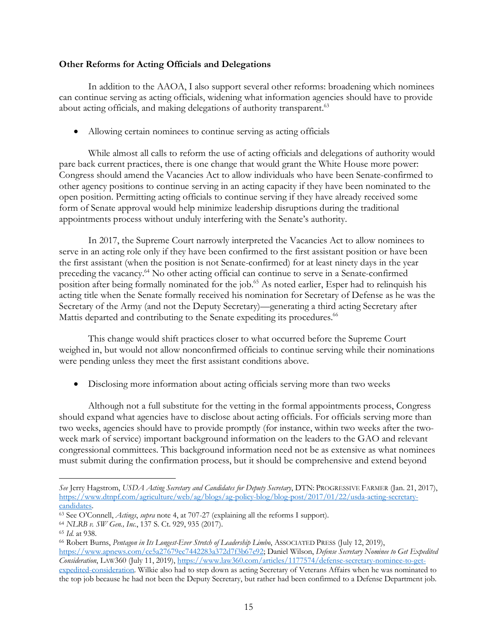# **Other Reforms for Acting Officials and Delegations**

In addition to the AAOA, I also support several other reforms: broadening which nominees can continue serving as acting officials, widening what information agencies should have to provide about acting officials, and making delegations of authority transparent.<sup>63</sup>

• Allowing certain nominees to continue serving as acting officials

While almost all calls to reform the use of acting officials and delegations of authority would pare back current practices, there is one change that would grant the White House more power: Congress should amend the Vacancies Act to allow individuals who have been Senate-confirmed to other agency positions to continue serving in an acting capacity if they have been nominated to the open position. Permitting acting officials to continue serving if they have already received some form of Senate approval would help minimize leadership disruptions during the traditional appointments process without unduly interfering with the Senate's authority.

In 2017, the Supreme Court narrowly interpreted the Vacancies Act to allow nominees to serve in an acting role only if they have been confirmed to the first assistant position or have been the first assistant (when the position is not Senate-confirmed) for at least ninety days in the year preceding the vacancy.<sup>64</sup> No other acting official can continue to serve in a Senate-confirmed position after being formally nominated for the job.<sup>65</sup> As noted earlier, Esper had to relinquish his acting title when the Senate formally received his nomination for Secretary of Defense as he was the Secretary of the Army (and not the Deputy Secretary)—generating a third acting Secretary after Mattis departed and contributing to the Senate expediting its procedures.<sup>66</sup>

This change would shift practices closer to what occurred before the Supreme Court weighed in, but would not allow nonconfirmed officials to continue serving while their nominations were pending unless they meet the first assistant conditions above.

• Disclosing more information about acting officials serving more than two weeks

Although not a full substitute for the vetting in the formal appointments process, Congress should expand what agencies have to disclose about acting officials. For officials serving more than two weeks, agencies should have to provide promptly (for instance, within two weeks after the twoweek mark of service) important background information on the leaders to the GAO and relevant congressional committees. This background information need not be as extensive as what nominees must submit during the confirmation process, but it should be comprehensive and extend beyond

-

*See* Jerry Hagstrom, *USDA Acting Secretary and Candidates for Deputy Secretary*, DTN: PROGRESSIVE FARMER (Jan. 21, 2017), https://www.dtnpf.com/agriculture/web/ag/blogs/ag-policy-blog/blog-post/2017/01/22/usda-acting-secretary-

candidates. 63 See O'Connell, *Actings*, *supra* note 4, at 707-27 (explaining all the reforms I support).

<sup>64</sup> *NLRB v. SW Gen., Inc.*, 137 S. Ct. 929, 935 (2017).

<sup>65</sup> *Id.* at 938.

<sup>66</sup> Robert Burns, *Pentagon in Its Longest-Ever Stretch of Leadership Limbo*, ASSOCIATED PRESS (July 12, 2019), https://www.apnews.com/ce5a27679ec7442283a372d7f3b67e92; Daniel Wilson, *Defense Secretary Nominee to Get Expedited Consideration*, LAW360 (July 11, 2019), https://www.law360.com/articles/1177574/defense-secretary-nominee-to-getexpedited-consideration. Wilkie also had to step down as acting Secretary of Veterans Affairs when he was nominated to the top job because he had not been the Deputy Secretary, but rather had been confirmed to a Defense Department job.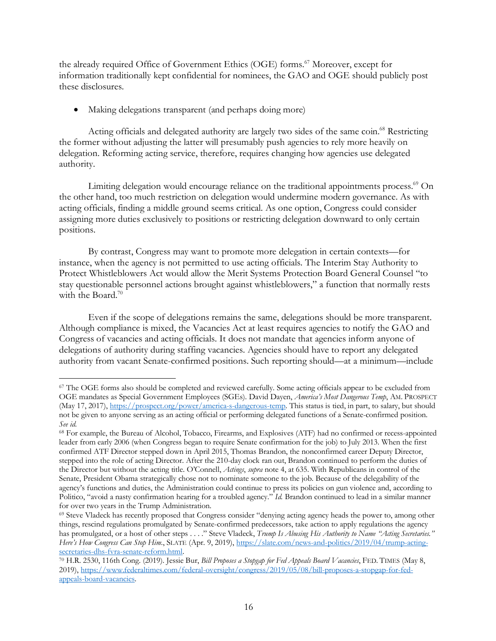the already required Office of Government Ethics (OGE) forms.<sup>67</sup> Moreover, except for information traditionally kept confidential for nominees, the GAO and OGE should publicly post these disclosures.

• Making delegations transparent (and perhaps doing more)

Acting officials and delegated authority are largely two sides of the same coin.<sup>68</sup> Restricting the former without adjusting the latter will presumably push agencies to rely more heavily on delegation. Reforming acting service, therefore, requires changing how agencies use delegated authority.

Limiting delegation would encourage reliance on the traditional appointments process.<sup>69</sup> On the other hand, too much restriction on delegation would undermine modern governance. As with acting officials, finding a middle ground seems critical. As one option, Congress could consider assigning more duties exclusively to positions or restricting delegation downward to only certain positions.

By contrast, Congress may want to promote more delegation in certain contexts—for instance, when the agency is not permitted to use acting officials. The Interim Stay Authority to Protect Whistleblowers Act would allow the Merit Systems Protection Board General Counsel "to stay questionable personnel actions brought against whistleblowers," a function that normally rests with the Board.<sup>70</sup>

Even if the scope of delegations remains the same, delegations should be more transparent. Although compliance is mixed, the Vacancies Act at least requires agencies to notify the GAO and Congress of vacancies and acting officials. It does not mandate that agencies inform anyone of delegations of authority during staffing vacancies. Agencies should have to report any delegated authority from vacant Senate-confirmed positions. Such reporting should—at a minimum—include

 <sup>67</sup> The OGE forms also should be completed and reviewed carefully. Some acting officials appear to be excluded from OGE mandates as Special Government Employees (SGEs). David Dayen, *America's Most Dangerous Temp*, AM. PROSPECT (May 17, 2017), https://prospect.org/power/america-s-dangerous-temp. This status is tied, in part, to salary, but should not be given to anyone serving as an acting official or performing delegated functions of a Senate-confirmed position. *See id.*

<sup>68</sup> For example, the Bureau of Alcohol, Tobacco, Firearms, and Explosives (ATF) had no confirmed or recess-appointed leader from early 2006 (when Congress began to require Senate confirmation for the job) to July 2013. When the first confirmed ATF Director stepped down in April 2015, Thomas Brandon, the nonconfirmed career Deputy Director, stepped into the role of acting Director. After the 210-day clock ran out, Brandon continued to perform the duties of the Director but without the acting title. O'Connell, *Actings*, *supra* note 4, at 635. With Republicans in control of the Senate, President Obama strategically chose not to nominate someone to the job. Because of the delegability of the agency's functions and duties, the Administration could continue to press its policies on gun violence and, according to Politico, "avoid a nasty confirmation hearing for a troubled agency." *Id.* Brandon continued to lead in a similar manner for over two years in the Trump Administration.

<sup>69</sup> Steve Vladeck has recently proposed that Congress consider "denying acting agency heads the power to, among other things, rescind regulations promulgated by Senate-confirmed predecessors, take action to apply regulations the agency has promulgated, or a host of other steps . . . ." Steve Vladeck, *Trump Is Abusing His Authority to Name "Acting Secretaries." Here's How Congress Can Stop Him.*, SLATE (Apr. 9, 2019), https://slate.com/news-and-politics/2019/04/trump-acting-secretaries-dhs-fyra-senate-reform.html.

<sup>&</sup>lt;sup>70</sup> H.R. 2530, 116th Cong. (2019). Jessie Bur, *Bill Proposes a Stopgap for Fed Appeals Board Vacancies*, FED. TIMES (May 8, 2019), https://www.federaltimes.com/federal-oversight/congress/2019/05/08/bill-proposes-a-stopgap-for-fedappeals-board-vacancies.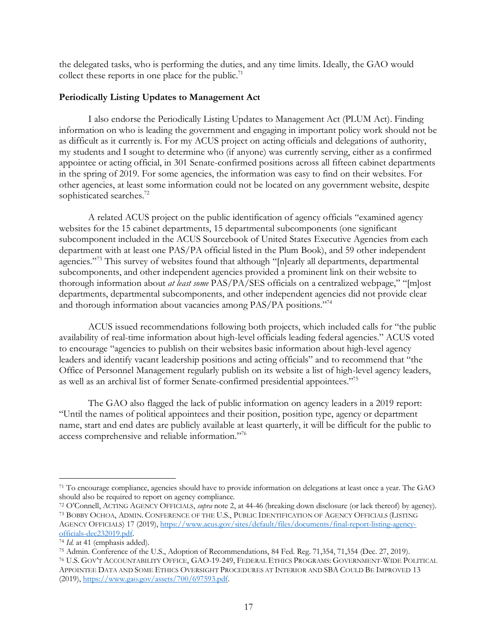the delegated tasks, who is performing the duties, and any time limits. Ideally, the GAO would collect these reports in one place for the public.<sup>71</sup>

# **Periodically Listing Updates to Management Act**

I also endorse the Periodically Listing Updates to Management Act (PLUM Act). Finding information on who is leading the government and engaging in important policy work should not be as difficult as it currently is. For my ACUS project on acting officials and delegations of authority, my students and I sought to determine who (if anyone) was currently serving, either as a confirmed appointee or acting official, in 301 Senate-confirmed positions across all fifteen cabinet departments in the spring of 2019. For some agencies, the information was easy to find on their websites. For other agencies, at least some information could not be located on any government website, despite sophisticated searches.<sup>72</sup>

A related ACUS project on the public identification of agency officials "examined agency websites for the 15 cabinet departments, 15 departmental subcomponents (one significant subcomponent included in the ACUS Sourcebook of United States Executive Agencies from each department with at least one PAS/PA official listed in the Plum Book), and 59 other independent agencies."73 This survey of websites found that although "[n]early all departments, departmental subcomponents, and other independent agencies provided a prominent link on their website to thorough information about *at least some* PAS/PA/SES officials on a centralized webpage," "[m]ost departments, departmental subcomponents, and other independent agencies did not provide clear and thorough information about vacancies among PAS/PA positions."74

ACUS issued recommendations following both projects, which included calls for "the public availability of real-time information about high-level officials leading federal agencies." ACUS voted to encourage "agencies to publish on their websites basic information about high-level agency leaders and identify vacant leadership positions and acting officials" and to recommend that "the Office of Personnel Management regularly publish on its website a list of high-level agency leaders, as well as an archival list of former Senate-confirmed presidential appointees."75

The GAO also flagged the lack of public information on agency leaders in a 2019 report: "Until the names of political appointees and their position, position type, agency or department name, start and end dates are publicly available at least quarterly, it will be difficult for the public to access comprehensive and reliable information."76

 <sup>71</sup> To encourage compliance, agencies should have to provide information on delegations at least once a year. The GAO should also be required to report on agency compliance.

<sup>72</sup> O'Connell, ACTING AGENCY OFFICIALS, *supra* note 2, at 44-46 (breaking down disclosure (or lack thereof) by agency). <sup>73</sup> BOBBY OCHOA, ADMIN. CONFERENCE OF THE U.S., PUBLIC IDENTIFICATION OF AGENCY OFFICIALS (LISTING AGENCY OFFICIALS) 17 (2019), https://www.acus.gov/sites/default/files/documents/final-report-listing-agencyofficials-dec232019.pdf.

<sup>74</sup> *Id.* at 41 (emphasis added).

<sup>75</sup> Admin. Conference of the U.S., Adoption of Recommendations, 84 Fed. Reg. 71,354, 71,354 (Dec. 27, 2019).

<sup>76</sup> U.S. GOV'T ACCOUNTABILITY OFFICE, GAO-19-249, FEDERAL ETHICS PROGRAMS: GOVERNMENT-WIDE POLITICAL APPOINTEE DATA AND SOME ETHICS OVERSIGHT PROCEDURES AT INTERIOR AND SBA COULD BE IMPROVED 13 (2019), https://www.gao.gov/assets/700/697593.pdf.